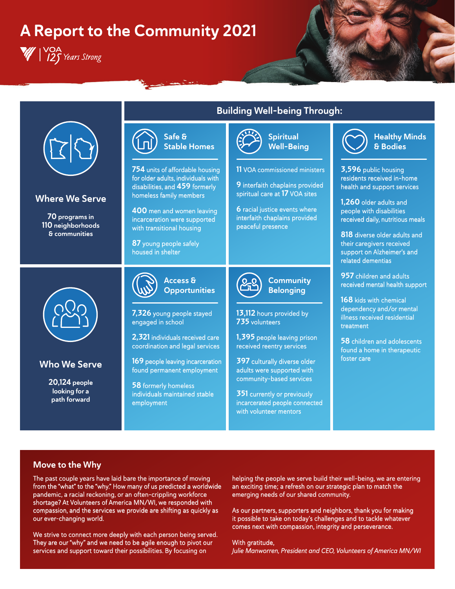# A Report to the Community 2021

W | YOA<br>W | Y25 Years Strong



### Move to the Why

The past couple years have laid bare the importance of moving from the "what" to the "why." How many of us predicted a worldwide pandemic, a racial reckoning, or an often-crippling workforce shortage? At Volunteers of America MN/WI, we responded with compassion, and the services we provide are shifting as quickly as our ever-changing world.

We strive to connect more deeply with each person being served. They are our "why" and we need to be agile enough to pivot our services and support toward their possibilities. By focusing on

helping the people we serve build their well-being, we are entering an exciting time; a refresh on our strategic plan to match the emerging needs of our shared community.

As our partners, supporters and neighbors, thank you for making it possible to take on today's challenges and to tackle whatever comes next with compassion, integrity and perseverance.

With gratitude, Julie Manworren, President and CEO, Volunteers of America MN/WI